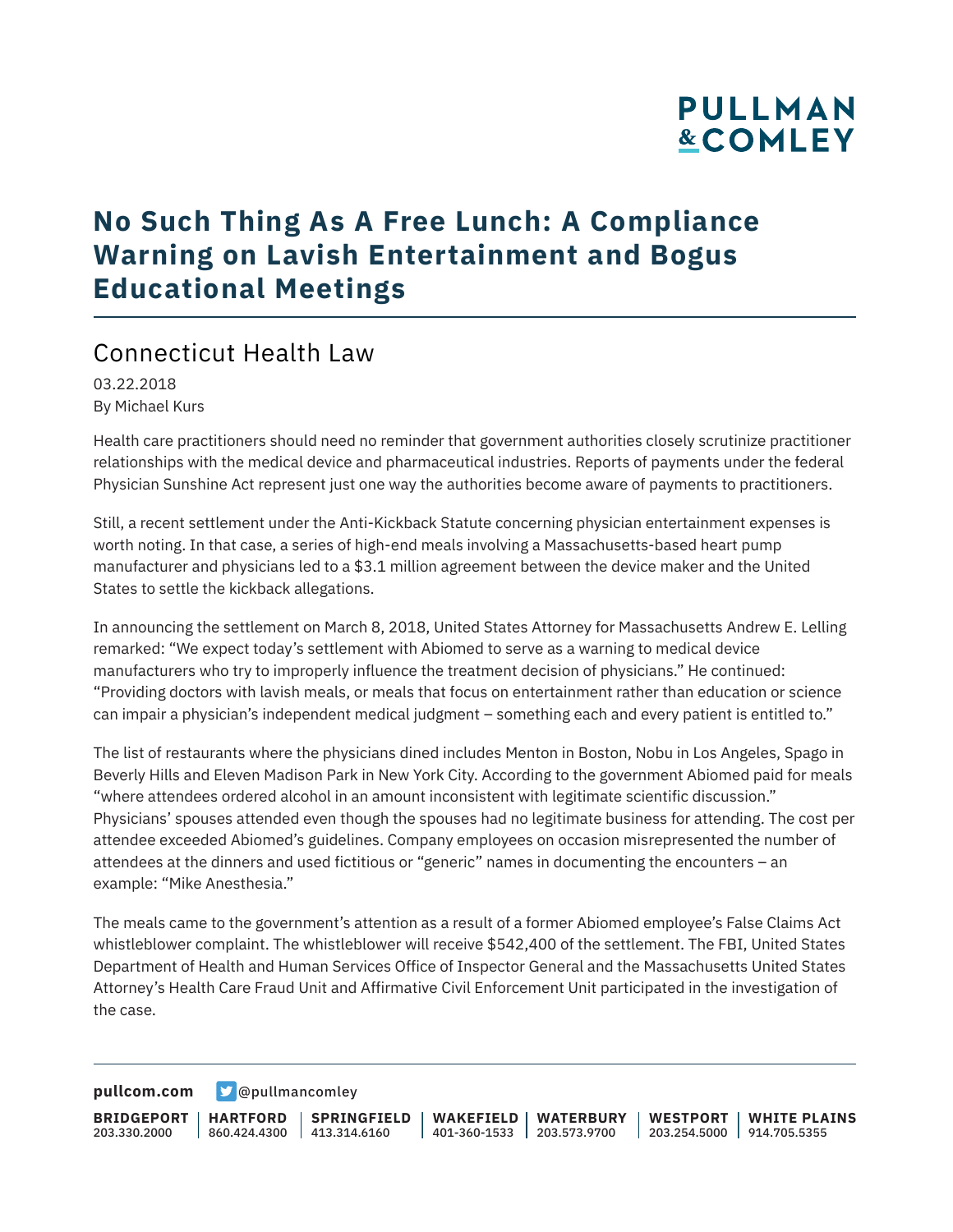# **PULLMAN &COMLEY**

# **No Such Thing As A Free Lunch: A Compliance Warning on Lavish Entertainment and Bogus Educational Meetings**

### Connecticut Health Law

03.22.2018 By Michael Kurs

Health care practitioners should need no reminder that government authorities closely scrutinize practitioner relationships with the medical device and pharmaceutical industries. Reports of payments under the federal Physician Sunshine Act represent just one way the authorities become aware of payments to practitioners.

Still, a recent settlement under the Anti-Kickback Statute concerning physician entertainment expenses is worth noting. In that case, a series of high-end meals involving a Massachusetts-based heart pump manufacturer and physicians led to a \$3.1 million agreement between the device maker and the United States to settle the kickback allegations.

In announcing the settlement on March 8, 2018, United States Attorney for Massachusetts Andrew E. Lelling remarked: "We expect today's settlement with Abiomed to serve as a warning to medical device manufacturers who try to improperly influence the treatment decision of physicians." He continued: "Providing doctors with lavish meals, or meals that focus on entertainment rather than education or science can impair a physician's independent medical judgment – something each and every patient is entitled to."

The list of restaurants where the physicians dined includes Menton in Boston, Nobu in Los Angeles, Spago in Beverly Hills and Eleven Madison Park in New York City. According to the government Abiomed paid for meals "where attendees ordered alcohol in an amount inconsistent with legitimate scientific discussion." Physicians' spouses attended even though the spouses had no legitimate business for attending. The cost per attendee exceeded Abiomed's guidelines. Company employees on occasion misrepresented the number of attendees at the dinners and used fictitious or "generic" names in documenting the encounters – an example: "Mike Anesthesia."

The meals came to the government's attention as a result of a former Abiomed employee's False Claims Act whistleblower complaint. The whistleblower will receive \$542,400 of the settlement. The FBI, United States Department of Health and Human Services Office of Inspector General and the Massachusetts United States Attorney's Health Care Fraud Unit and Affirmative Civil Enforcement Unit participated in the investigation of the case.

**[pullcom.com](https://www.pullcom.com) g** [@pullmancomley](https://twitter.com/PullmanComley)

**BRIDGEPORT** 203.330.2000 **HARTFORD** 860.424.4300 413.314.6160 **SPRINGFIELD WAKEFIELD WATERBURY** 401-360-1533 203.573.9700 **WESTPORT WHITE PLAINS** 203.254.5000 914.705.5355